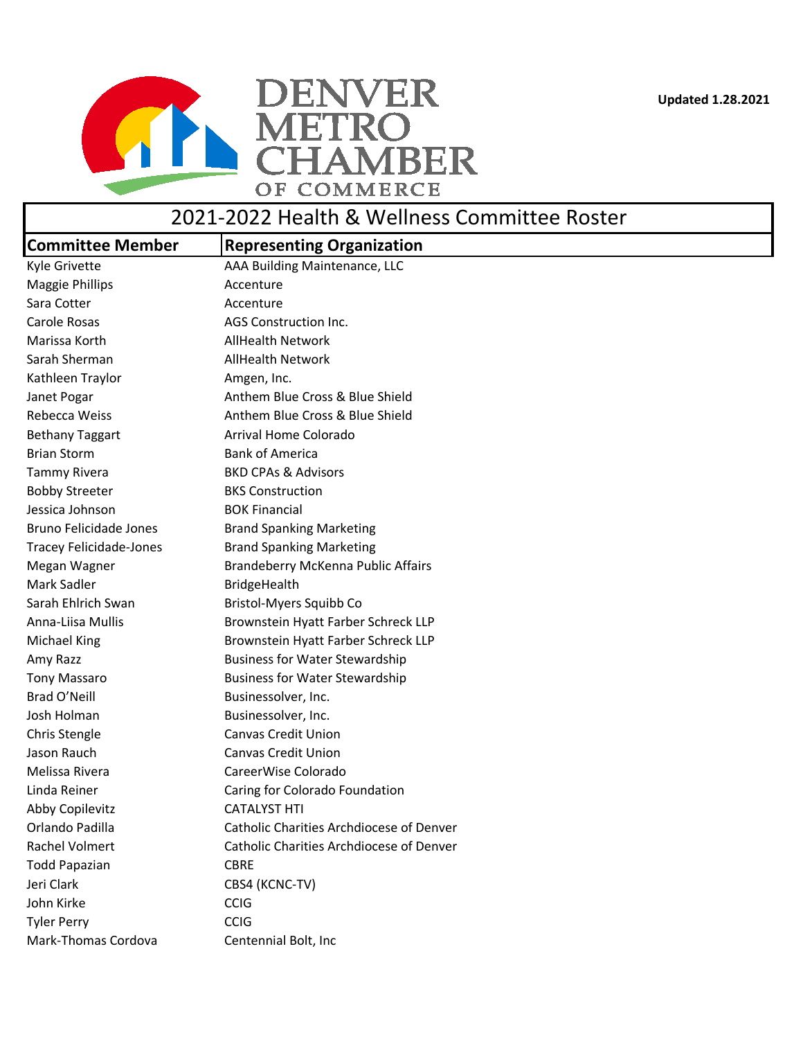**Updated 1.28.2021**



## 2021-2022 Health & Wellness Committee Roster

| <b>Committee Member</b>        | <b>Representing Organization</b>         |
|--------------------------------|------------------------------------------|
| Kyle Grivette                  | AAA Building Maintenance, LLC            |
| <b>Maggie Phillips</b>         | Accenture                                |
| Sara Cotter                    | Accenture                                |
| Carole Rosas                   | AGS Construction Inc.                    |
| Marissa Korth                  | <b>AllHealth Network</b>                 |
| Sarah Sherman                  | <b>AllHealth Network</b>                 |
| Kathleen Traylor               | Amgen, Inc.                              |
| Janet Pogar                    | Anthem Blue Cross & Blue Shield          |
| Rebecca Weiss                  | Anthem Blue Cross & Blue Shield          |
| <b>Bethany Taggart</b>         | Arrival Home Colorado                    |
| <b>Brian Storm</b>             | <b>Bank of America</b>                   |
| <b>Tammy Rivera</b>            | <b>BKD CPAs &amp; Advisors</b>           |
| <b>Bobby Streeter</b>          | <b>BKS Construction</b>                  |
| Jessica Johnson                | <b>BOK Financial</b>                     |
| Bruno Felicidade Jones         | <b>Brand Spanking Marketing</b>          |
| <b>Tracey Felicidade-Jones</b> | <b>Brand Spanking Marketing</b>          |
| Megan Wagner                   | Brandeberry McKenna Public Affairs       |
| Mark Sadler                    | <b>BridgeHealth</b>                      |
| Sarah Ehlrich Swan             | Bristol-Myers Squibb Co                  |
| Anna-Liisa Mullis              | Brownstein Hyatt Farber Schreck LLP      |
| <b>Michael King</b>            | Brownstein Hyatt Farber Schreck LLP      |
| Amy Razz                       | <b>Business for Water Stewardship</b>    |
| <b>Tony Massaro</b>            | <b>Business for Water Stewardship</b>    |
| Brad O'Neill                   | Businessolver, Inc.                      |
| Josh Holman                    | Businessolver, Inc.                      |
| Chris Stengle                  | <b>Canvas Credit Union</b>               |
| Jason Rauch                    | <b>Canvas Credit Union</b>               |
| Melissa Rivera                 | CareerWise Colorado                      |
| Linda Reiner                   | Caring for Colorado Foundation           |
| Abby Copilevitz                | <b>CATALYST HTI</b>                      |
| Orlando Padilla                | Catholic Charities Archdiocese of Denver |
| Rachel Volmert                 | Catholic Charities Archdiocese of Denver |
| <b>Todd Papazian</b>           | <b>CBRE</b>                              |
| Jeri Clark                     | CBS4 (KCNC-TV)                           |
| John Kirke                     | <b>CCIG</b>                              |
| <b>Tyler Perry</b>             | <b>CCIG</b>                              |
| Mark-Thomas Cordova            | Centennial Bolt, Inc                     |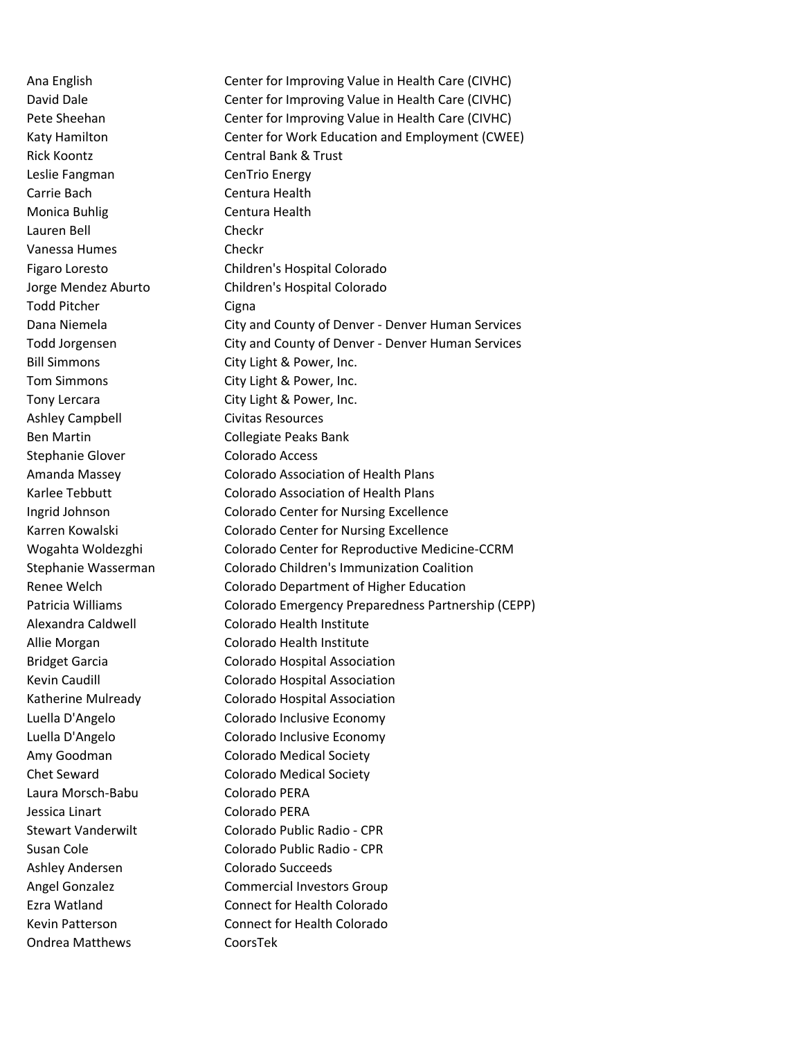Rick Koontz Central Bank & Trust Leslie Fangman CenTrio Energy Carrie Bach Centura Health Monica Buhlig Centura Health Lauren Bell Checkr Vanessa Humes Checkr Todd Pitcher Cigna Ashley Campbell Civitas Resources Ben Martin Collegiate Peaks Bank Stephanie Glover Colorado Access Laura Morsch-Babu Colorado PERA Jessica Linart Colorado PERA Ashley Andersen Colorado Succeeds Ondrea Matthews CoorsTek

Ana English Center for Improving Value in Health Care (CIVHC) David Dale **CENTER CENTER CENTER CENTER CONTROL** Center for Improving Value in Health Care (CIVHC) Pete Sheehan Center for Improving Value in Health Care (CIVHC) Katy Hamilton Center for Work Education and Employment (CWEE) Figaro Loresto Children's Hospital Colorado Jorge Mendez Aburto Children's Hospital Colorado Dana Niemela City and County of Denver - Denver Human Services Todd Jorgensen City and County of Denver - Denver Human Services Bill Simmons City Light & Power, Inc. Tom Simmons City Light & Power, Inc. Tony Lercara City Light & Power, Inc. Amanda Massey Colorado Association of Health Plans Karlee Tebbutt Colorado Association of Health Plans Ingrid Johnson Colorado Center for Nursing Excellence Karren Kowalski Colorado Center for Nursing Excellence Wogahta Woldezghi Colorado Center for Reproductive Medicine-CCRM Stephanie Wasserman Colorado Children's Immunization Coalition Renee Welch Colorado Department of Higher Education Patricia Williams Colorado Emergency Preparedness Partnership (CEPP) Alexandra Caldwell Colorado Health Institute Allie Morgan Colorado Health Institute Bridget Garcia Colorado Hospital Association Kevin Caudill **Colorado Hospital Association** Katherine Mulready Colorado Hospital Association Luella D'Angelo Colorado Inclusive Economy Luella D'Angelo Colorado Inclusive Economy Amy Goodman Colorado Medical Society Chet Seward Colorado Medical Society Stewart Vanderwilt Colorado Public Radio - CPR Susan Cole Colorado Public Radio - CPR Angel Gonzalez **Commercial Investors Group** Ezra Watland Connect for Health Colorado Kevin Patterson Connect for Health Colorado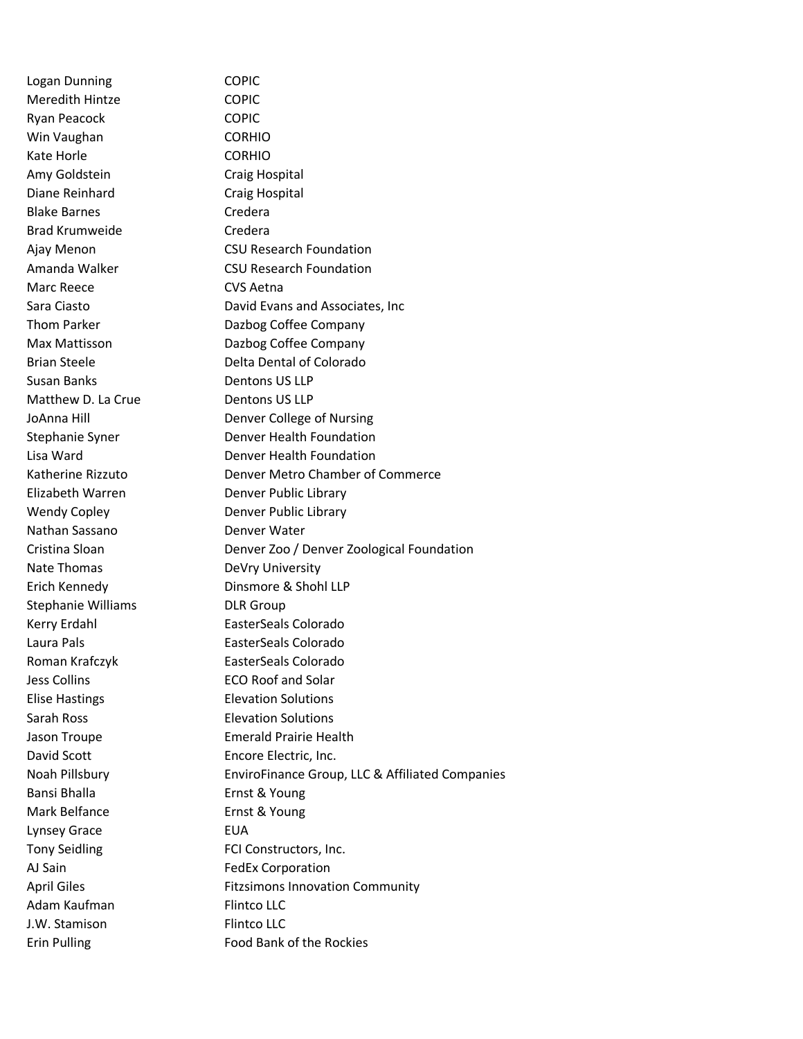Logan Dunning COPIC Meredith Hintze **COPIC** Ryan Peacock COPIC Win Vaughan CORHIO Kate Horle **CORHIO** Amy Goldstein Craig Hospital Diane Reinhard Craig Hospital Blake Barnes Credera Brad Krumweide Credera Marc Reece **CVS** Aetna Susan Banks Dentons US LLP Matthew D. La Crue Dentons US LLP Elizabeth Warren Denver Public Library Wendy Copley **Denver Public Library** Nathan Sassano Denver Water Nate Thomas DeVry University Stephanie Williams DLR Group Kerry Erdahl **EasterSeals Colorado** Laura Pals EasterSeals Colorado Roman Krafczyk EasterSeals Colorado Jess Collins ECO Roof and Solar Elise Hastings Elevation Solutions Sarah Ross Elevation Solutions David Scott **Encore Electric**, Inc. Bansi Bhalla **Ernst & Young** Mark Belfance Ernst & Young Lynsey Grace **EUA** Tony Seidling FCI Constructors, Inc. AJ Sain FedEx Corporation Adam Kaufman Flintco LLC J.W. Stamison Flintco LLC

Ajay Menon CSU Research Foundation Amanda Walker **CSU Research Foundation** Sara Ciasto David Evans and Associates, Inc Thom Parker **Dazbog Coffee Company** Max Mattisson Dazbog Coffee Company Brian Steele **Delta Dental of Colorado** JoAnna Hill Denver College of Nursing Stephanie Syner **Denver Health Foundation** Lisa Ward Denver Health Foundation Katherine Rizzuto Denver Metro Chamber of Commerce Cristina Sloan Denver Zoo / Denver Zoological Foundation Erich Kennedy Dinsmore & Shohl LLP Jason Troupe Emerald Prairie Health Noah Pillsbury EnviroFinance Group, LLC & Affiliated Companies April Giles Fitzsimons Innovation Community Erin Pulling Food Bank of the Rockies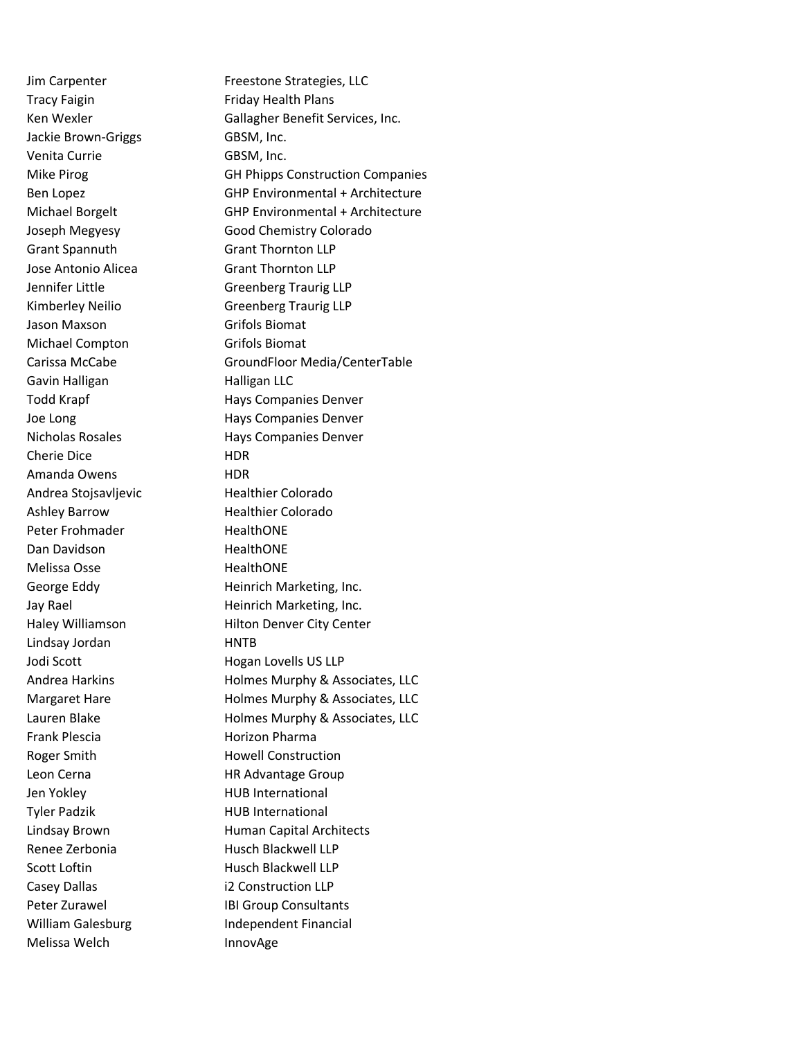Tracy Faigin Friday Health Plans Jackie Brown-Griggs GBSM, Inc. Venita Currie GBSM, Inc. Grant Spannuth Grant Thornton LLP Jose Antonio Alicea Grant Thornton LLP Jason Maxson Grifols Biomat Michael Compton Grifols Biomat Gavin Halligan **Halligan** LLC Cherie Dice **HDR** Amanda Owens **HDR** Andrea Stojsavljevic<br>
Healthier Colorado Ashley Barrow **Healthier Colorado** Peter Frohmader **HealthONE** Dan Davidson **HealthONE** Melissa Osse **HealthONE** Lindsay Jordan HNTB Jodi Scott **Hogan Lovells US LLP** Frank Plescia **Horizon Pharma** Roger Smith **Howell Construction** Leon Cerna **HR Advantage Group** Jen Yokley **HUB** International Tyler Padzik HUB International Renee Zerbonia and Husch Blackwell LLP Scott Loftin **Husch Blackwell LLP** Casey Dallas i2 Construction LLP Melissa Welch **InnovAge** 

Jim Carpenter Freestone Strategies, LLC Ken Wexler Gallagher Benefit Services, Inc. Mike Pirog GH Phipps Construction Companies Ben Lopez GHP Environmental + Architecture Michael Borgelt GHP Environmental + Architecture Joseph Megyesy Good Chemistry Colorado Jennifer Little Greenberg Traurig LLP Kimberley Neilio Greenberg Traurig LLP Carissa McCabe GroundFloor Media/CenterTable Todd Krapf **Hays Companies Denver** Joe Long **Hays Companies Denver** Nicholas Rosales Hays Companies Denver George Eddy **Heinrich Marketing, Inc.** Jay Rael **Heinrich Marketing, Inc.** Haley Williamson Hilton Denver City Center Andrea Harkins **Holmes Murphy & Associates, LLC** Margaret Hare **Holmes Murphy & Associates, LLC** Lauren Blake **Holmes Murphy & Associates, LLC** Lindsay Brown **Human Capital Architects** Peter Zurawel **IBI Group Consultants** William Galesburg **Independent Financial**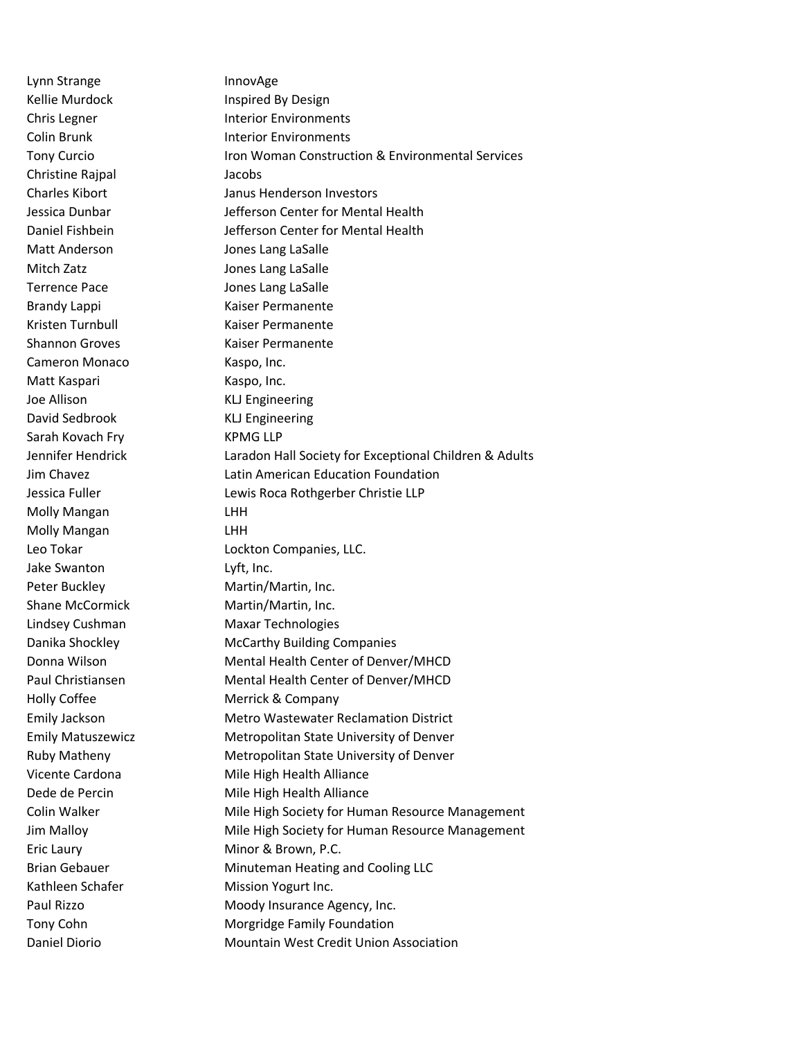Lynn Strange InnovAge Kellie Murdock **Inspired By Design** Christine Rajpal Jacobs Matt Anderson Jones Lang LaSalle Mitch Zatz **Mitch Zatz** Jones Lang LaSalle Terrence Pace **In the Search Cones** Lang LaSalle Brandy Lappi Kaiser Permanente Kristen Turnbull Kaiser Permanente Shannon Groves Kaiser Permanente Cameron Monaco Kaspo, Inc. Matt Kaspari Kaspo, Inc. Joe Allison KLJ Engineering David Sedbrook KLJ Engineering Sarah Kovach Fry KPMG LLP Molly Mangan LHH Molly Mangan LHH Jake Swanton Lyft, Inc. Peter Buckley Martin/Martin, Inc. Shane McCormick Martin/Martin, Inc. Kathleen Schafer Mission Yogurt Inc.

Chris Legner **Interior Environments** Colin Brunk **Interior Environments** Tony Curcio Iron Woman Construction & Environmental Services Charles Kibort Janus Henderson Investors Jessica Dunbar Jefferson Center for Mental Health Daniel Fishbein **Jefferson Center for Mental Health** Jennifer Hendrick Laradon Hall Society for Exceptional Children & Adults Jim Chavez Latin American Education Foundation Jessica Fuller Lewis Roca Rothgerber Christie LLP Leo Tokar **Lockton Companies**, LLC. Lindsey Cushman Maxar Technologies Danika Shockley McCarthy Building Companies Donna Wilson Mental Health Center of Denver/MHCD Paul Christiansen Mental Health Center of Denver/MHCD Holly Coffee Merrick & Company Emily Jackson Metro Wastewater Reclamation District Emily Matuszewicz Metropolitan State University of Denver Ruby Matheny Metropolitan State University of Denver Vicente Cardona Mile High Health Alliance Dede de Percin Mile High Health Alliance Colin Walker **Mile High Society for Human Resource Management** Jim Malloy Mile High Society for Human Resource Management Eric Laury Minor & Brown, P.C. Brian Gebauer Minuteman Heating and Cooling LLC Paul Rizzo **Moody Insurance Agency, Inc.** Tony Cohn Morgridge Family Foundation Daniel Diorio Mountain West Credit Union Association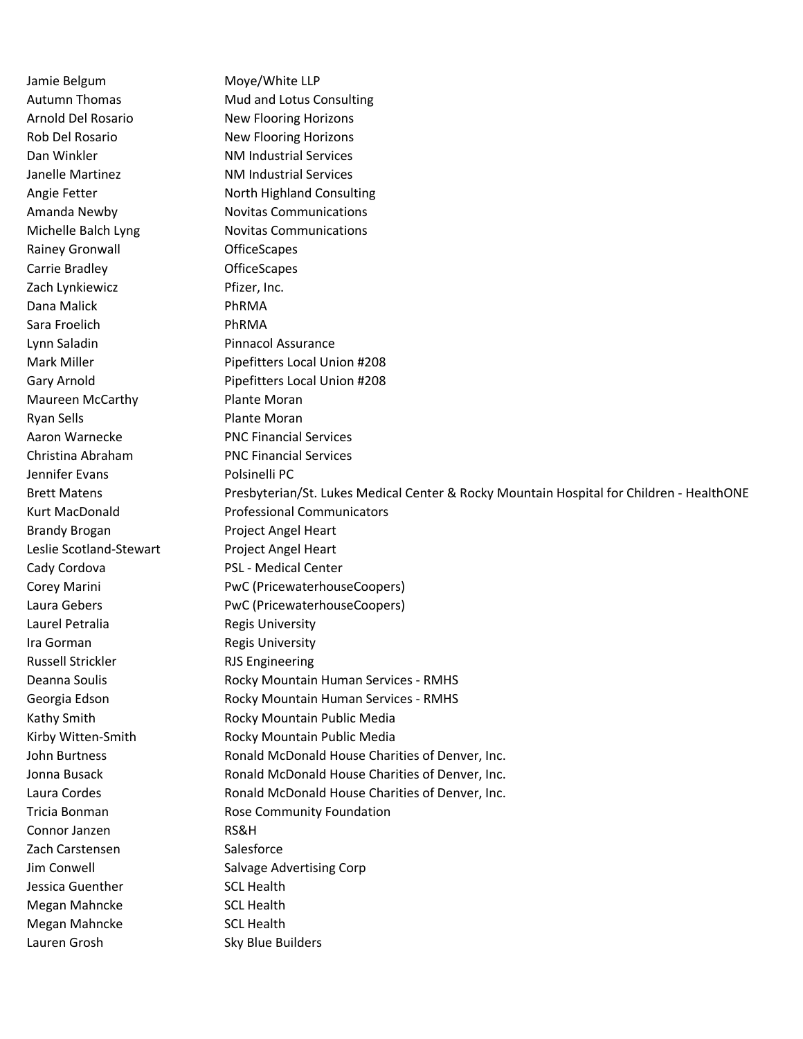Jamie Belgum Moye/White LLP Autumn Thomas Mud and Lotus Consulting Arnold Del Rosario New Flooring Horizons Rob Del Rosario New Flooring Horizons Dan Winkler NM Industrial Services Janelle Martinez NM Industrial Services Angie Fetter North Highland Consulting Amanda Newby Novitas Communications Michelle Balch Lyng Novitas Communications Rainey Gronwall **Contact Contact Contact Contact Contact Contact Contact Contact Contact Contact Contact Contact Contact Contact Contact Contact Contact Contact Contact Contact Contact Contact Contact Contact Contact Conta** Carrie Bradley **Carrie Bradley Carrie Bradley** Zach Lynkiewicz **Pfizer**, Inc. Dana Malick **PhRMA** Sara Froelich **PhRMA** Lynn Saladin **Pinnacol Assurance** Mark Miller **Mark Miller** Pipefitters Local Union #208 Gary Arnold **Pipefitters Local Union #208** Maureen McCarthy Plante Moran Ryan Sells **Plante Moran** Aaron Warnecke PNC Financial Services Christina Abraham PNC Financial Services Jennifer Evans **Polsinelli** PC Brett Matens **Presbyterian/St. Lukes Medical Center & Rocky Mountain Hospital for Children - HealthONE** Kurt MacDonald Professional Communicators Brandy Brogan Project Angel Heart Leslie Scotland-Stewart Project Angel Heart Cady Cordova **PSL** - Medical Center Corey Marini **PwC** (PricewaterhouseCoopers) Laura Gebers PwC (PricewaterhouseCoopers) Laurel Petralia **Regis University** Ira Gorman Regis University Russell Strickler **RJS Engineering** Deanna Soulis **Rocky Mountain Human Services - RMHS** Georgia Edson Rocky Mountain Human Services - RMHS Kathy Smith **Rocky Mountain Public Media** Kirby Witten-Smith Rocky Mountain Public Media John Burtness **Ronald McDonald House Charities of Denver**, Inc. Jonna Busack **Ronald McDonald House Charities of Denver, Inc.** Laura Cordes Ronald McDonald House Charities of Denver, Inc. Tricia Bonman Rose Community Foundation Connor Janzen RS&H Zach Carstensen Salesforce Jim Conwell Salvage Advertising Corp Jessica Guenther SCL Health Megan Mahncke SCL Health Megan Mahncke SCL Health Lauren Grosh Sky Blue Builders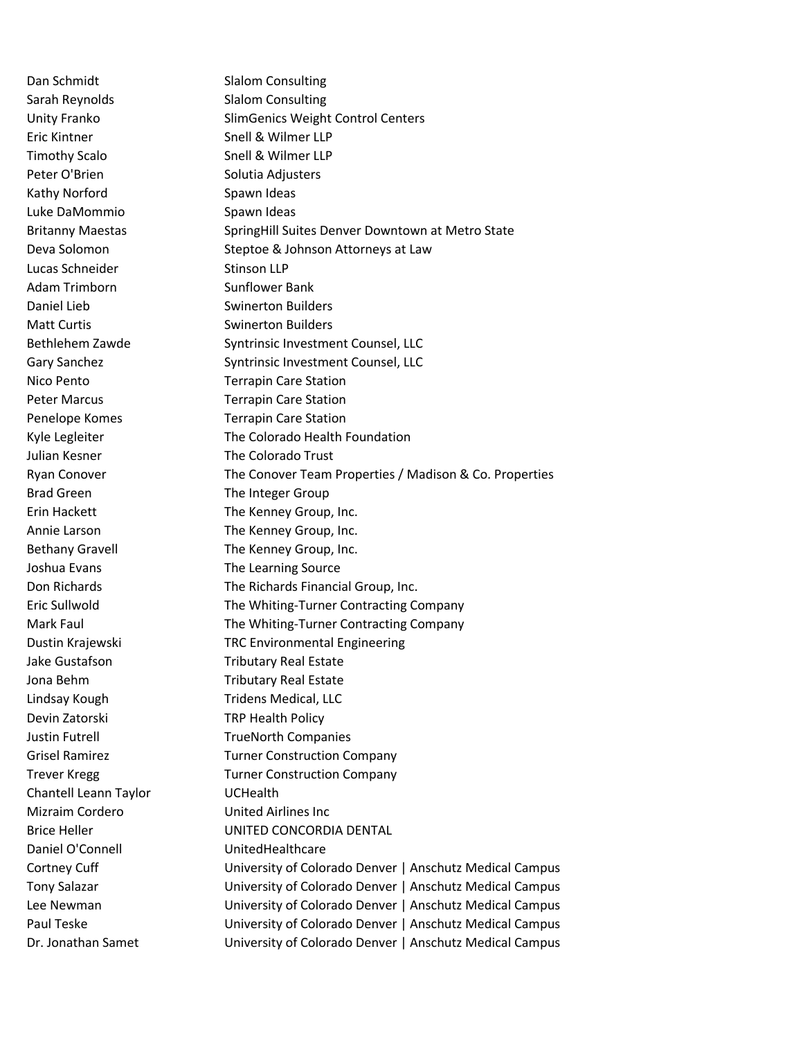Sarah Reynolds Slalom Consulting Eric Kintner Snell & Wilmer LLP Timothy Scalo Snell & Wilmer LLP Peter O'Brien Solutia Adjusters Kathy Norford Spawn Ideas Luke DaMommio Spawn Ideas Lucas Schneider Stinson LLP Adam Trimborn Sunflower Bank Daniel Lieb Swinerton Builders Matt Curtis **SWING COVERTS** Swinerton Builders Julian Kesner The Colorado Trust Brad Green The Integer Group Devin Zatorski TRP Health Policy Chantell Leann Taylor UCHealth Mizraim Cordero **United Airlines** Inc Daniel O'Connell UnitedHealthcare

Dan Schmidt Slalom Consulting Unity Franko SlimGenics Weight Control Centers Britanny Maestas SpringHill Suites Denver Downtown at Metro State Deva Solomon Steptoe & Johnson Attorneys at Law Bethlehem Zawde Syntrinsic Investment Counsel, LLC Gary Sanchez Syntrinsic Investment Counsel, LLC Nico Pento Terrapin Care Station Peter Marcus Terrapin Care Station Penelope Komes Terrapin Care Station Kyle Legleiter The Colorado Health Foundation Ryan Conover The Conover Team Properties / Madison & Co. Properties Erin Hackett The Kenney Group, Inc. Annie Larson The Kenney Group, Inc. Bethany Gravell The Kenney Group, Inc. Joshua Evans The Learning Source Don Richards The Richards Financial Group, Inc. Eric Sullwold The Whiting-Turner Contracting Company Mark Faul **The Whiting-Turner Contracting Company** Dustin Krajewski TRC Environmental Engineering Jake Gustafson Tributary Real Estate Jona Behm Tributary Real Estate Lindsay Kough Tridens Medical, LLC Justin Futrell TrueNorth Companies Grisel Ramirez Turner Construction Company Trever Kregg Trever Kregg Turner Construction Company Brice Heller UNITED CONCORDIA DENTAL Cortney Cuff University of Colorado Denver | Anschutz Medical Campus Tony Salazar University of Colorado Denver | Anschutz Medical Campus Lee Newman University of Colorado Denver | Anschutz Medical Campus Paul Teske University of Colorado Denver | Anschutz Medical Campus Dr. Jonathan Samet University of Colorado Denver | Anschutz Medical Campus